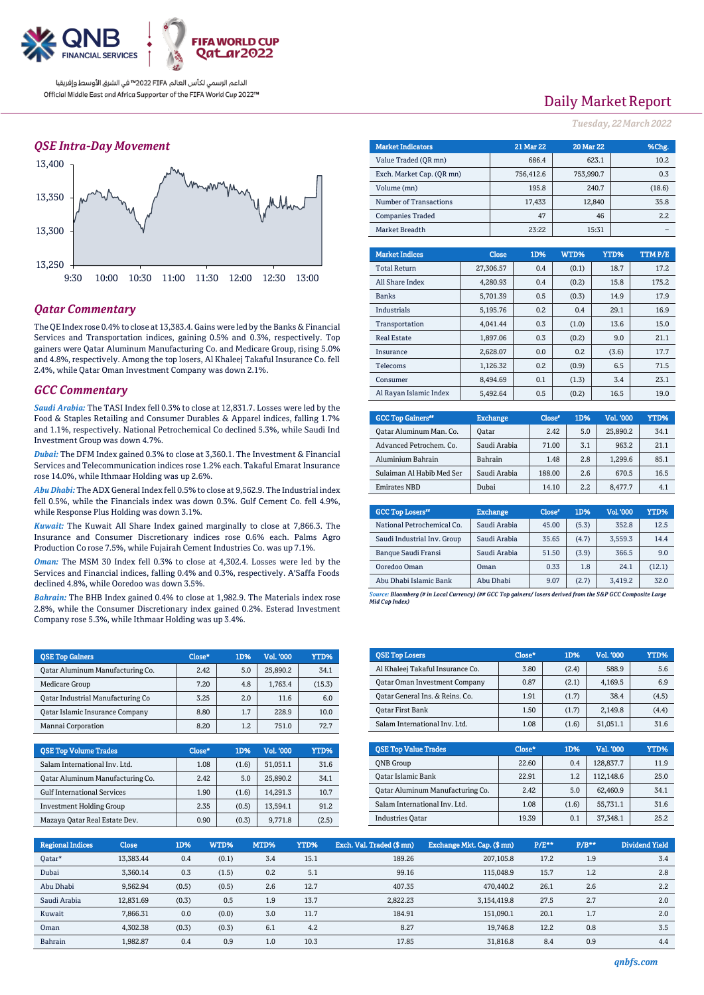

## *QSE Intra-Day Movement*



### *Qatar Commentary*

The QE Index rose 0.4% to close at 13,383.4. Gains were led by the Banks & Financial Services and Transportation indices, gaining 0.5% and 0.3%, respectively. Top gainers were Qatar Aluminum Manufacturing Co. and Medicare Group, rising 5.0% and 4.8%, respectively. Among the top losers, Al Khaleej Takaful Insurance Co. fell 2.4%, while Qatar Oman Investment Company was down 2.1%.

### *GCC Commentary*

*Saudi Arabia:* The TASI Index fell 0.3% to close at 12,831.7. Losses were led by the Food & Staples Retailing and Consumer Durables & Apparel indices, falling 1.7% and 1.1%, respectively. National Petrochemical Co declined 5.3%, while Saudi Ind Investment Group was down 4.7%.

*Dubai:* The DFM Index gained 0.3% to close at 3,360.1. The Investment & Financial Services and Telecommunication indices rose 1.2% each. Takaful Emarat Insurance rose 14.0%, while Ithmaar Holding was up 2.6%.

*Abu Dhabi:* The ADX General Index fell 0.5% to close at 9,562.9. The Industrial index fell 0.5%, while the Financials index was down 0.3%. Gulf Cement Co. fell 4.9%, while Response Plus Holding was down 3.1%.

*Kuwait:* The Kuwait All Share Index gained marginally to close at 7,866.3. The Insurance and Consumer Discretionary indices rose 0.6% each. Palms Agro Production Co rose 7.5%, while Fujairah Cement Industries Co. was up 7.1%.

*Oman:* The MSM 30 Index fell 0.3% to close at 4,302.4. Losses were led by the Services and Financial indices, falling 0.4% and 0.3%, respectively. A'Saffa Foods declined 4.8%, while Ooredoo was down 3.5%.

*Bahrain:* The BHB Index gained 0.4% to close at 1,982.9. The Materials index rose 2.8%, while the Consumer Discretionary index gained 0.2%. Esterad Investment Company rose 5.3%, while Ithmaar Holding was up 3.4%.

| <b>OSE Top Gainers</b>                 | Close* | 1D% | Vol. '000 | YTD%   |
|----------------------------------------|--------|-----|-----------|--------|
| Oatar Aluminum Manufacturing Co.       | 2.42   | 5.0 | 25,890.2  | 34.1   |
| Medicare Group                         | 7.20   | 4.8 | 1.763.4   | (15.3) |
| Oatar Industrial Manufacturing Co      | 3.25   | 2.0 | 11.6      | 6.0    |
| <b>Qatar Islamic Insurance Company</b> | 8.80   | 1.7 | 228.9     | 10.0   |
| Mannai Corporation                     | 8.20   | 1.2 | 751.0     | 72.7   |

| <b>QSE Top Volume Trades</b>       | Close* | 1D%   | Vol. '000 | YTD%  |
|------------------------------------|--------|-------|-----------|-------|
| Salam International Inv. Ltd.      | 1.08   | (1.6) | 51.051.1  | 31.6  |
| Oatar Aluminum Manufacturing Co.   | 2.42   | 5.0   | 25,890.2  | 34.1  |
| <b>Gulf International Services</b> | 1.90   | (1.6) | 14.291.3  | 10.7  |
| <b>Investment Holding Group</b>    | 2.35   | (0.5) | 13.594.1  | 91.2  |
| Mazaya Qatar Real Estate Dev.      | 0.90   | (0.3) | 9.771.8   | (2.5) |

# Daily Market Report

*Tuesday, 22March2022*

| <b>Market Indicators</b>  |  |              | 21 Mar 22 | 20 Mar 22 |        | %Chg.   |
|---------------------------|--|--------------|-----------|-----------|--------|---------|
| Value Traded (OR mn)      |  |              | 686.4     |           | 623.1  | 10.2    |
| Exch. Market Cap. (QR mn) |  | 756,412.6    | 753,990.7 |           | 0.3    |         |
| Volume (mn)               |  |              | 195.8     |           | 240.7  | (18.6)  |
| Number of Transactions    |  |              | 17,433    |           | 12,840 | 35.8    |
| <b>Companies Traded</b>   |  |              | 47        |           | 46     | 2.2     |
| Market Breadth            |  |              |           |           | 15:31  |         |
|                           |  |              |           |           |        |         |
| <b>Market Indices</b>     |  | <b>Close</b> | 1D%       | WTD%      | YTD%   | TTM P/E |
| <b>Total Return</b>       |  | 27,306.57    | 0.4       | (0.1)     | 18.7   | 17.2    |
| All Share Index           |  | 4,280.93     | 0.4       | (0.2)     | 15.8   | 175.2   |
| <b>Banks</b>              |  | 5,701.39     | 0.5       | (0.3)     | 14.9   | 17.9    |
| <b>Industrials</b>        |  | 5,195.76     | 0.2       | 0.4       | 29.1   | 16.9    |
| Transportation            |  | 4,041.44     | 0.3       | (1.0)     | 13.6   | 15.0    |
| <b>Real Estate</b>        |  | 1,897.06     | 0.3       | (0.2)     | 9.0    | 21.1    |
| Insurance                 |  | 2,628.07     | 0.0       | 0.2       | (3.6)  | 17.7    |
| Telecoms                  |  | 1,126.32     | 0.2       | (0.9)     | 6.5    | 71.5    |
| Consumer                  |  | 8,494.69     | 0.1       | (1.3)     | 3.4    | 23.1    |
| Al Rayan Islamic Index    |  | 5,492.64     | 0.5       | (0.2)     | 16.5   | 19.0    |
|                           |  |              |           |           |        |         |

| <b>GCC Top Gainers</b> "  | <b>Exchange</b> | Close* | 1D% | Vol. '000 | YTD% |
|---------------------------|-----------------|--------|-----|-----------|------|
| Qatar Aluminum Man. Co.   | Oatar           | 2.42   | 5.0 | 25.890.2  | 34.1 |
| Advanced Petrochem, Co.   | Saudi Arabia    | 71.00  | 3.1 | 963.2     | 21.1 |
| Aluminium Bahrain         | Bahrain         | 1.48   | 2.8 | 1.299.6   | 85.1 |
| Sulaiman Al Habib Med Ser | Saudi Arabia    | 188.00 | 2.6 | 670.5     | 16.5 |
| <b>Emirates NBD</b>       | Dubai           | 14.10  | 2.2 | 8.477.7   | 4.1  |

| <b>GCC Top Losers</b> "     | <b>Exchange</b> | Close <sup>®</sup> | 1D%   | <b>Vol.'000</b> | YTD%   |
|-----------------------------|-----------------|--------------------|-------|-----------------|--------|
| National Petrochemical Co.  | Saudi Arabia    | 45.00              | (5.3) | 352.8           | 12.5   |
| Saudi Industrial Inv. Group | Saudi Arabia    | 35.65              | (4.7) | 3.559.3         | 14.4   |
| Banque Saudi Fransi         | Saudi Arabia    | 51.50              | (3.9) | 366.5           | 9.0    |
| Ooredoo Oman                | Oman            | 0.33               | 1.8   | 24.1            | (12.1) |
| Abu Dhabi Islamic Bank      | Abu Dhabi       | 9.07               | (2.7) | 3,419.2         | 32.0   |

*Source: Bloomberg (# in Local Currency) (## GCC Top gainers/ losers derived from the S&P GCC Composite Large Mid Cap Index)*

| <b>QSE Top Losers</b>                | Close* | 1D%   | <b>Vol. '000</b> | <b>YTD%</b> |
|--------------------------------------|--------|-------|------------------|-------------|
| Al Khaleej Takaful Insurance Co.     | 3.80   | (2.4) | 588.9            | 5.6         |
| <b>Qatar Oman Investment Company</b> | 0.87   | (2.1) | 4.169.5          | 6.9         |
| Oatar General Ins. & Reins. Co.      | 1.91   | (1.7) | 38.4             | (4.5)       |
| Oatar First Bank                     | 1.50   | (1.7) | 2.149.8          | (4.4)       |
| Salam International Inv. Ltd.        | 1.08   | (1.6) | 51,051.1         | 31.6        |

| <b>OSE Top Value Trades</b>      | Close* | 1D%   | Val. '000 | <b>YTD%</b> |
|----------------------------------|--------|-------|-----------|-------------|
| <b>ONB</b> Group                 | 22.60  | 0.4   | 128.837.7 | 11.9        |
| <b>Qatar Islamic Bank</b>        | 22.91  | 1.2   | 112.148.6 | 25.0        |
| Oatar Aluminum Manufacturing Co. | 2.42   | 5.0   | 62,460.9  | 34.1        |
| Salam International Inv. Ltd.    | 1.08   | (1.6) | 55.731.1  | 31.6        |
| <b>Industries Oatar</b>          | 19.39  | 0.1   | 37,348.1  | 25.2        |

| <b>Regional Indices</b> | <b>Close</b> | 1D%   | WTD%  | MTD% | <b>YTD%</b> | Exch. Val. Traded (\$ mn) | Exchange Mkt. Cap. (\$ mn) | $P/E***$ | $P/B**$ | <b>Dividend Yield</b> |
|-------------------------|--------------|-------|-------|------|-------------|---------------------------|----------------------------|----------|---------|-----------------------|
| Oatar*                  | 13.383.44    | 0.4   | (0.1) | 3.4  | 15.1        | 189.26                    | 207,105.8                  | 17.2     | 1.9     | 3.4                   |
| Dubai                   | 3,360.14     | 0.3   | (1.5) | 0.2  | 5.1         | 99.16                     | 115,048.9                  | 15.7     | 1.2     | 2.8                   |
| Abu Dhabi               | 9,562.94     | (0.5) | (0.5) | 2.6  | 12.7        | 407.35                    | 470,440.2                  | 26.1     | 2.6     | 2.2                   |
| Saudi Arabia            | 12.831.69    | (0.3) | 0.5   | 1.9  | 13.7        | 2.822.23                  | 3.154.419.8                | 27.5     | 2.7     | 2.0                   |
| Kuwait                  | 7.866.31     | 0.0   | (0.0) | 3.0  | 11.7        | 184.91                    | 151.090.1                  | 20.1     | 1.7     | 2.0                   |
| Oman                    | 4,302.38     | (0.3) | (0.3) | 6.1  | 4.2         | 8.27                      | 19.746.8                   | 12.2     | 0.8     | 3.5                   |
| Bahrain                 | 1.982.87     | 0.4   | 0.9   | 1.0  | 10.3        | 17.85                     | 31.816.8                   | 8.4      | 0.9     | 4.4                   |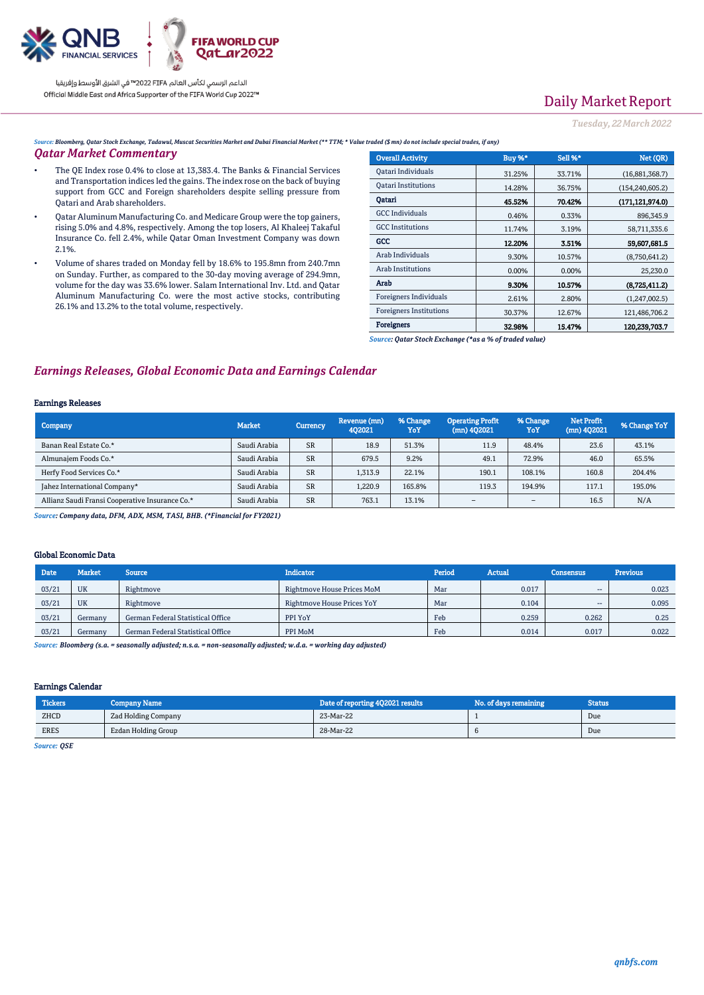

# Daily Market Report

*Tuesday, 22March2022*

*Source: Bloomberg, Qatar Stock Exchange, Tadawul, Muscat Securities Market and Dubai Financial Market (\*\* TTM; \* Value traded (\$ mn) do not include special trades, if any)*

### *Qatar Market Commentary*

- The QE Index rose 0.4% to close at 13,383.4. The Banks & Financial Services and Transportation indices led the gains. The index rose on the back of buying support from GCC and Foreign shareholders despite selling pressure from Qatari and Arab shareholders.
- Qatar Aluminum Manufacturing Co. and Medicare Group were the top gainers, rising 5.0% and 4.8%, respectively. Among the top losers, Al Khaleej Takaful Insurance Co. fell 2.4%, while Qatar Oman Investment Company was down 2.1%.
- Volume of shares traded on Monday fell by 18.6% to 195.8mn from 240.7mn on Sunday. Further, as compared to the 30-day moving average of 294.9mn, volume for the day was 33.6% lower. Salam International Inv. Ltd. and Qatar Aluminum Manufacturing Co. were the most active stocks, contributing 26.1% and 13.2% to the total volume, respectively.

| <b>Overall Activity</b>        | Buy %* | Sell %* | Net (QR)          |
|--------------------------------|--------|---------|-------------------|
| Qatari Individuals             | 31.25% | 33.71%  | (16,881,368.7)    |
| <b>Oatari Institutions</b>     | 14.28% | 36.75%  | (154, 240, 605.2) |
| Oatari                         | 45.52% | 70.42%  | (171, 121, 974.0) |
| <b>GCC</b> Individuals         | 0.46%  | 0.33%   | 896,345.9         |
| <b>GCC</b> Institutions        | 11.74% | 3.19%   | 58,711,335.6      |
| GCC                            | 12.20% | 3.51%   | 59,607,681.5      |
| Arab Individuals               | 9.30%  | 10.57%  | (8,750,641.2)     |
| <b>Arab Institutions</b>       | 0.00%  | 0.00%   | 25,230.0          |
| Arab                           | 9.30%  | 10.57%  | (8,725,411.2)     |
| Foreigners Individuals         | 2.61%  | 2.80%   | (1,247,002.5)     |
| <b>Foreigners Institutions</b> | 30.37% | 12.67%  | 121,486,706.2     |
| Foreigners                     | 32.98% | 15.47%  | 120,239,703.7     |

*Source: Qatar Stock Exchange (\*as a % of traded value)*

## *Earnings Releases, Global Economic Data and Earnings Calendar*

#### Earnings Releases

| <b>Company</b>                                  | <b>Market</b> | <b>Currency</b> | Revenue (mn)<br>402021 | % Change<br>YoY | <b>Operating Profit</b><br>$(mn)$ 402021 | % Change<br>YoY | Net Profit<br>$(mn)$ 402021 | % Change YoY |
|-------------------------------------------------|---------------|-----------------|------------------------|-----------------|------------------------------------------|-----------------|-----------------------------|--------------|
| Banan Real Estate Co.*                          | Saudi Arabia  | <b>SR</b>       | 18.9                   | 51.3%           | 11.9                                     | 48.4%           | 23.6                        | 43.1%        |
| Almunajem Foods Co.*                            | Saudi Arabia  | <b>SR</b>       | 679.5                  | 9.2%            | 49.1                                     | 72.9%           | 46.0                        | 65.5%        |
| Herfy Food Services Co.*                        | Saudi Arabia  | <b>SR</b>       | 1.313.9                | 22.1%           | 190.1                                    | 108.1%          | 160.8                       | 204.4%       |
| Jahez International Company*                    | Saudi Arabia  | <b>SR</b>       | 1,220.9                | 165.8%          | 119.3                                    | 194.9%          | 117.1                       | 195.0%       |
| Allianz Saudi Fransi Cooperative Insurance Co.* | Saudi Arabia  | <b>SR</b>       | 763.1                  | 13.1%           | $\overline{\phantom{a}}$                 | -               | 16.5                        | N/A          |

*Source: Company data, DFM, ADX, MSM, TASI, BHB. (\*Financial for FY2021)*

#### Global Economic Data

| Date  | Market    | Source                            | <b>Indicator</b>           | Period | <b>Actual</b> | <b>Consensus</b> | <b>Previous</b> |
|-------|-----------|-----------------------------------|----------------------------|--------|---------------|------------------|-----------------|
| 03/21 | <b>UK</b> | Rightmove                         | Rightmove House Prices MoM | Mar    | 0.017         | $- -$            | 0.023           |
| 03/21 | <b>UK</b> | Rightmove                         | Rightmove House Prices YoY | Mar    | 0.104         | $- -$            | 0.095           |
| 03/21 | Germany   | German Federal Statistical Office | <b>PPI YoY</b>             | Feb    | 0.259         | 0.262            | 0.25            |
| 03/21 | Germany   | German Federal Statistical Office | PPI MoM                    | Feb    | 0.014         | 0.017            | 0.022           |

*Source: Bloomberg (s.a. = seasonally adjusted; n.s.a. = non-seasonally adjusted; w.d.a. = working day adjusted)*

#### Earnings Calendar

| Tickers                   | <b>Company Name</b> | Date of reporting 4Q2021 results | No. of days remaining | <b>Status</b> |
|---------------------------|---------------------|----------------------------------|-----------------------|---------------|
| ZHCD<br><b>STATISTICS</b> | Zad Holding Company | 23-Mar-22                        |                       | Due           |
| <b>ERES</b>               | Ezdan Holding Group | 28-Mar-22                        |                       | Due           |

*Source: QSE*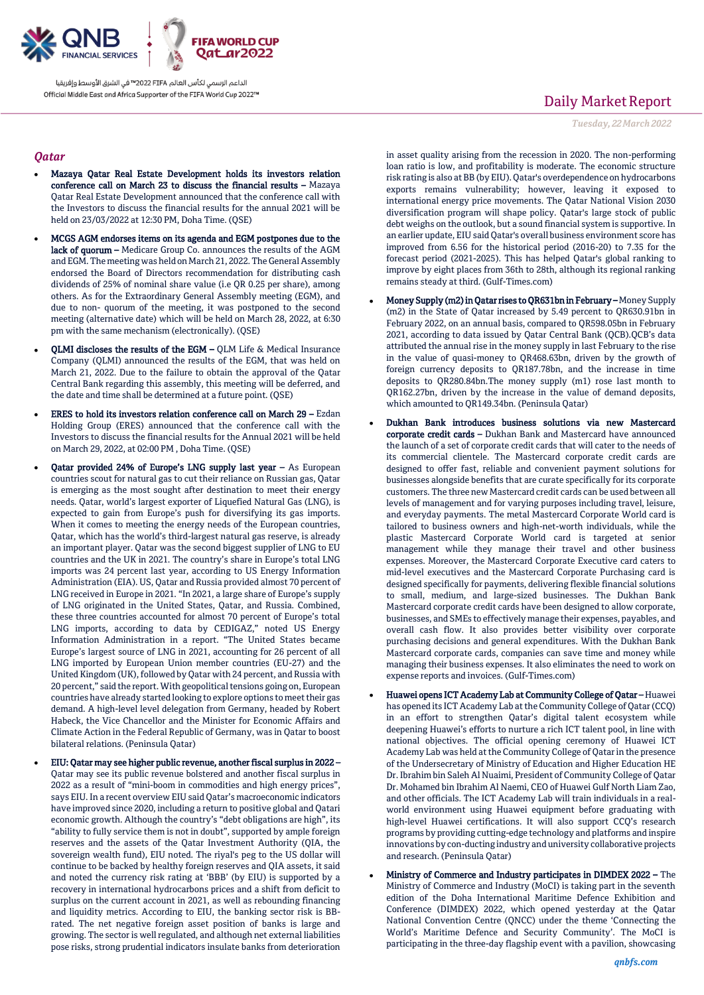

## *Qatar*

- Mazaya Qatar Real Estate Development holds its investors relation conference call on March 23 to discuss the financial results – Mazaya Qatar Real Estate Development announced that the conference call with the Investors to discuss the financial results for the annual 2021 will be held on 23/03/2022 at 12:30 PM, Doha Time. (QSE)
- MCGS AGM endorses items on its agenda and EGM postpones due to the lack of quorum – Medicare Group Co. announces the results of the AGM and EGM. The meeting was held on March 21, 2022. The General Assembly endorsed the Board of Directors recommendation for distributing cash dividends of 25% of nominal share value (i.e QR 0.25 per share), among others. As for the Extraordinary General Assembly meeting (EGM), and due to non- quorum of the meeting, it was postponed to the second meeting (alternative date) which will be held on March 28, 2022, at 6:30 pm with the same mechanism (electronically). (QSE)
- QLMI discloses the results of the EGM QLM Life & Medical Insurance Company (QLMI) announced the results of the EGM, that was held on March 21, 2022. Due to the failure to obtain the approval of the Qatar Central Bank regarding this assembly, this meeting will be deferred, and the date and time shall be determined at a future point. (QSE)
- ERES to hold its investors relation conference call on March 29 Ezdan Holding Group (ERES) announced that the conference call with the Investors to discuss the financial results for the Annual 2021 will be held on March 29, 2022, at 02:00 PM , Doha Time. (QSE)
- Qatar provided 24% of Europe's LNG supply last year As European countries scout for natural gas to cut their reliance on Russian gas, Qatar is emerging as the most sought after destination to meet their energy needs. Qatar, world's largest exporter of Liquefied Natural Gas (LNG), is expected to gain from Europe's push for diversifying its gas imports. When it comes to meeting the energy needs of the European countries, Qatar, which has the world's third-largest natural gas reserve, is already an important player. Qatar was the second biggest supplier of LNG to EU countries and the UK in 2021. The country's share in Europe's total LNG imports was 24 percent last year, according to US Energy Information Administration (EIA). US, Qatar and Russia provided almost 70 percent of LNG received in Europe in 2021. "In 2021, a large share of Europe's supply of LNG originated in the United States, Qatar, and Russia. Combined, these three countries accounted for almost 70 percent of Europe's total LNG imports, according to data by CEDIGAZ," noted US Energy Information Administration in a report. "The United States became Europe's largest source of LNG in 2021, accounting for 26 percent of all LNG imported by European Union member countries (EU-27) and the United Kingdom (UK), followed by Qatar with 24 percent, and Russia with 20 percent," said the report. With geopolitical tensions going on, European countries have already started looking to explore options to meet their gas demand. A high-level level delegation from Germany, headed by Robert Habeck, the Vice Chancellor and the Minister for Economic Affairs and Climate Action in the Federal Republic of Germany, was in Qatar to boost bilateral relations. (Peninsula Qatar)
- EIU: Qatar may see higher public revenue, another fiscal surplus in 2022 Qatar may see its public revenue bolstered and another fiscal surplus in 2022 as a result of "mini-boom in commodities and high energy prices", says EIU. In a recent overview EIU said Qatar's macroeconomic indicators have improved since 2020, including a return to positive global and Qatari economic growth. Although the country's "debt obligations are high", its "ability to fully service them is not in doubt", supported by ample foreign reserves and the assets of the Qatar Investment Authority (QIA, the sovereign wealth fund), EIU noted. The riyal's peg to the US dollar will continue to be backed by healthy foreign reserves and QIA assets, it said and noted the currency risk rating at 'BBB' (by EIU) is supported by a recovery in international hydrocarbons prices and a shift from deficit to surplus on the current account in 2021, as well as rebounding financing and liquidity metrics. According to EIU, the banking sector risk is BBrated. The net negative foreign asset position of banks is large and growing. The sector is well regulated, and although net external liabilities pose risks, strong prudential indicators insulate banks from deterioration

# Daily Market Report

*Tuesday, 22March2022*

in asset quality arising from the recession in 2020. The non-performing loan ratio is low, and profitability is moderate. The economic structure risk rating is also at BB (by EIU). Qatar's overdependence on hydrocarbons exports remains vulnerability; however, leaving it exposed to international energy price movements. The Qatar National Vision 2030 diversification program will shape policy. Qatar's large stock of public debt weighs on the outlook, but a sound financial system is supportive. In an earlier update, EIU said Qatar's overall business environment score has improved from 6.56 for the historical period (2016-20) to 7.35 for the forecast period (2021-2025). This has helped Qatar's global ranking to improve by eight places from 36th to 28th, although its regional ranking remains steady at third. (Gulf-Times.com)

- Money Supply (m2) in Qatar rises to QR631bn in February Money Supply (m2) in the State of Qatar increased by 5.49 percent to QR630.91bn in February 2022, on an annual basis, compared to QR598.05bn in February 2021, according to data issued by Qatar Central Bank (QCB).QCB's data attributed the annual rise in the money supply in last February to the rise in the value of quasi-money to QR468.63bn, driven by the growth of foreign currency deposits to QR187.78bn, and the increase in time deposits to QR280.84bn.The money supply (m1) rose last month to QR162.27bn, driven by the increase in the value of demand deposits, which amounted to QR149.34bn. (Peninsula Qatar)
- Dukhan Bank introduces business solutions via new Mastercard corporate credit cards – Dukhan Bank and Mastercard have announced the launch of a set of corporate credit cards that will cater to the needs of its commercial clientele. The Mastercard corporate credit cards are designed to offer fast, reliable and convenient payment solutions for businesses alongside benefits that are curate specifically for its corporate customers. The three new Mastercard credit cards can be used between all levels of management and for varying purposes including travel, leisure, and everyday payments. The metal Mastercard Corporate World card is tailored to business owners and high-net-worth individuals, while the plastic Mastercard Corporate World card is targeted at senior management while they manage their travel and other business expenses. Moreover, the Mastercard Corporate Executive card caters to mid-level executives and the Mastercard Corporate Purchasing card is designed specifically for payments, delivering flexible financial solutions to small, medium, and large-sized businesses. The Dukhan Bank Mastercard corporate credit cards have been designed to allow corporate, businesses, and SMEs to effectively manage their expenses, payables, and overall cash flow. It also provides better visibility over corporate purchasing decisions and general expenditures. With the Dukhan Bank Mastercard corporate cards, companies can save time and money while managing their business expenses. It also eliminates the need to work on expense reports and invoices. (Gulf-Times.com)
- Huawei opens ICT Academy Lab at Community College of Qatar Huawei has opened its ICT Academy Lab at the Community College of Qatar (CCQ) in an effort to strengthen Qatar's digital talent ecosystem while deepening Huawei's efforts to nurture a rich ICT talent pool, in line with national objectives. The official opening ceremony of Huawei ICT Academy Lab was held at the Community College of Qatar in the presence of the Undersecretary of Ministry of Education and Higher Education HE Dr. Ibrahim bin Saleh Al Nuaimi, President of Community College of Qatar Dr. Mohamed bin Ibrahim Al Naemi, CEO of Huawei Gulf North Liam Zao, and other officials. The ICT Academy Lab will train individuals in a realworld environment using Huawei equipment before graduating with high-level Huawei certifications. It will also support CCQ's research programs by providing cutting-edge technology and platforms and inspire innovations by con-ducting industry and university collaborative projects and research. (Peninsula Qatar)
- Ministry of Commerce and Industry participates in DIMDEX 2022 The Ministry of Commerce and Industry (MoCI) is taking part in the seventh edition of the Doha International Maritime Defence Exhibition and Conference (DIMDEX) 2022, which opened yesterday at the Qatar National Convention Centre (QNCC) under the theme 'Connecting the World's Maritime Defence and Security Community'. The MoCI is participating in the three-day flagship event with a pavilion, showcasing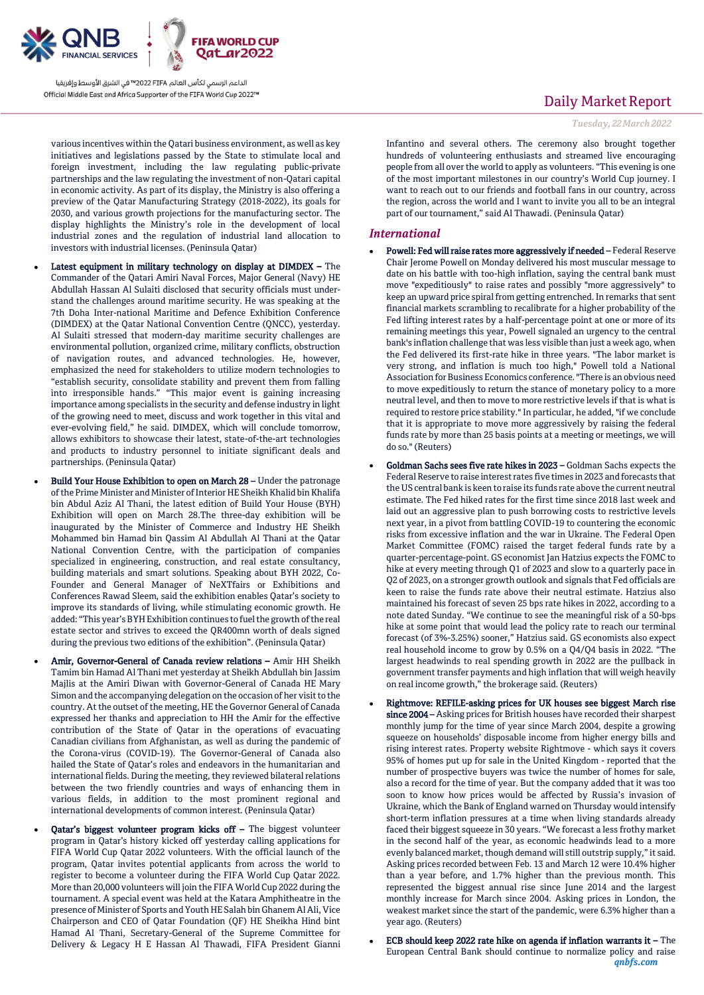

various incentives within the Qatari business environment, as well as key initiatives and legislations passed by the State to stimulate local and foreign investment, including the law regulating public-private partnerships and the law regulating the investment of non-Qatari capital in economic activity. As part of its display, the Ministry is also offering a preview of the Qatar Manufacturing Strategy (2018-2022), its goals for 2030, and various growth projections for the manufacturing sector. The display highlights the Ministry's role in the development of local industrial zones and the regulation of industrial land allocation to investors with industrial licenses. (Peninsula Qatar)

- Latest equipment in military technology on display at DIMDEX The Commander of the Qatari Amiri Naval Forces, Major General (Navy) HE Abdullah Hassan Al Sulaiti disclosed that security officials must understand the challenges around maritime security. He was speaking at the 7th Doha Inter-national Maritime and Defence Exhibition Conference (DIMDEX) at the Qatar National Convention Centre (QNCC), yesterday. Al Sulaiti stressed that modern-day maritime security challenges are environmental pollution, organized crime, military conflicts, obstruction of navigation routes, and advanced technologies. He, however, emphasized the need for stakeholders to utilize modern technologies to "establish security, consolidate stability and prevent them from falling into irresponsible hands." "This major event is gaining increasing importance among specialists in the security and defense industry in light of the growing need to meet, discuss and work together in this vital and ever-evolving field," he said. DIMDEX, which will conclude tomorrow, allows exhibitors to showcase their latest, state-of-the-art technologies and products to industry personnel to initiate significant deals and partnerships. (Peninsula Qatar)
- Build Your House Exhibition to open on March 28 Under the patronage of the Prime Minister and Minister of Interior HE Sheikh Khalid bin Khalifa bin Abdul Aziz Al Thani, the latest edition of Build Your House (BYH) Exhibition will open on March 28.The three-day exhibition will be inaugurated by the Minister of Commerce and Industry HE Sheikh Mohammed bin Hamad bin Qassim Al Abdullah Al Thani at the Qatar National Convention Centre, with the participation of companies specialized in engineering, construction, and real estate consultancy, building materials and smart solutions. Speaking about BYH 2022, Co-Founder and General Manager of NeXTfairs or Exhibitions and Conferences Rawad Sleem, said the exhibition enables Qatar's society to improve its standards of living, while stimulating economic growth. He added: "This year's BYH Exhibition continues to fuel the growth of the real estate sector and strives to exceed the QR400mn worth of deals signed during the previous two editions of the exhibition". (Peninsula Qatar)
- Amir, Governor-General of Canada review relations Amir HH Sheikh Tamim bin Hamad Al Thani met yesterday at Sheikh Abdullah bin Jassim Majlis at the Amiri Diwan with Governor-General of Canada HE Mary Simon and the accompanying delegation on the occasion of her visit to the country. At the outset of the meeting, HE the Governor General of Canada expressed her thanks and appreciation to HH the Amir for the effective contribution of the State of Qatar in the operations of evacuating Canadian civilians from Afghanistan, as well as during the pandemic of the Corona-virus (COVID-19). The Governor-General of Canada also hailed the State of Qatar's roles and endeavors in the humanitarian and international fields. During the meeting, they reviewed bilateral relations between the two friendly countries and ways of enhancing them in various fields, in addition to the most prominent regional and international developments of common interest. (Peninsula Qatar)
- Qatar's biggest volunteer program kicks off The biggest volunteer program in Qatar's history kicked off yesterday calling applications for FIFA World Cup Qatar 2022 volunteers. With the official launch of the program, Qatar invites potential applicants from across the world to register to become a volunteer during the FIFA World Cup Qatar 2022. More than 20,000 volunteers will join the FIFA World Cup 2022 during the tournament. A special event was held at the Katara Amphitheatre in the presence of Minister of Sports and Youth HE Salah bin Ghanem Al Ali, Vice Chairperson and CEO of Qatar Foundation (QF) HE Sheikha Hind bint Hamad Al Thani, Secretary-General of the Supreme Committee for Delivery & Legacy H E Hassan Al Thawadi, FIFA President Gianni

## Daily Market Report

*Tuesday, 22March2022*

Infantino and several others. The ceremony also brought together hundreds of volunteering enthusiasts and streamed live encouraging people from all over the world to apply as volunteers. "This evening is one of the most important milestones in our country's World Cup journey. I want to reach out to our friends and football fans in our country, across the region, across the world and I want to invite you all to be an integral part of our tournament," said Al Thawadi. (Peninsula Qatar)

### *International*

- Powell: Fed will raise rates more aggressively if needed Federal Reserve Chair Jerome Powell on Monday delivered his most muscular message to date on his battle with too-high inflation, saying the central bank must move "expeditiously" to raise rates and possibly "more aggressively" to keep an upward price spiral from getting entrenched. In remarks that sent financial markets scrambling to recalibrate for a higher probability of the Fed lifting interest rates by a half-percentage point at one or more of its remaining meetings this year, Powell signaled an urgency to the central bank's inflation challenge that was less visible than just a week ago, when the Fed delivered its first-rate hike in three years. "The labor market is very strong, and inflation is much too high," Powell told a National Association for Business Economics conference. "There is an obvious need to move expeditiously to return the stance of monetary policy to a more neutral level, and then to move to more restrictive levels if that is what is required to restore price stability." In particular, he added, "if we conclude that it is appropriate to move more aggressively by raising the federal funds rate by more than 25 basis points at a meeting or meetings, we will do so." (Reuters)
- Goldman Sachs sees five rate hikes in 2023 Goldman Sachs expects the Federal Reserve to raise interest rates five times in 2023 and forecasts that the US central bank is keen to raise its funds rate above the current neutral estimate. The Fed hiked rates for the first time since 2018 last week and laid out an aggressive plan to push borrowing costs to restrictive levels next year, in a pivot from battling COVID-19 to countering the economic risks from excessive inflation and the war in Ukraine. The Federal Open Market Committee (FOMC) raised the target federal funds rate by a quarter-percentage-point. GS economist Jan Hatzius expects the FOMC to hike at every meeting through Q1 of 2023 and slow to a quarterly pace in Q2 of 2023, on a stronger growth outlook and signals that Fed officials are keen to raise the funds rate above their neutral estimate. Hatzius also maintained his forecast of seven 25 bps rate hikes in 2022, according to a note dated Sunday. "We continue to see the meaningful risk of a 50-bps hike at some point that would lead the policy rate to reach our terminal forecast (of 3%-3.25%) sooner," Hatzius said. GS economists also expect real household income to grow by 0.5% on a Q4/Q4 basis in 2022. "The largest headwinds to real spending growth in 2022 are the pullback in government transfer payments and high inflation that will weigh heavily on real income growth," the brokerage said. (Reuters)
- Rightmove: REFILE-asking prices for UK houses see biggest March rise since 2004 – Asking prices for British houses have recorded their sharpest monthly jump for the time of year since March 2004, despite a growing squeeze on households' disposable income from higher energy bills and rising interest rates. Property website Rightmove - which says it covers 95% of homes put up for sale in the United Kingdom - reported that the number of prospective buyers was twice the number of homes for sale, also a record for the time of year. But the company added that it was too soon to know how prices would be affected by Russia's invasion of Ukraine, which the Bank of England warned on Thursday would intensify short-term inflation pressures at a time when living standards already faced their biggest squeeze in 30 years. "We forecast a less frothy market in the second half of the year, as economic headwinds lead to a more evenly balanced market, though demand will still outstrip supply," it said. Asking prices recorded between Feb. 13 and March 12 were 10.4% higher than a year before, and 1.7% higher than the previous month. This represented the biggest annual rise since June 2014 and the largest monthly increase for March since 2004. Asking prices in London, the weakest market since the start of the pandemic, were 6.3% higher than a year ago. (Reuters)
- *qnbfs.com* ECB should keep 2022 rate hike on agenda if inflation warrants it – The European Central Bank should continue to normalize policy and raise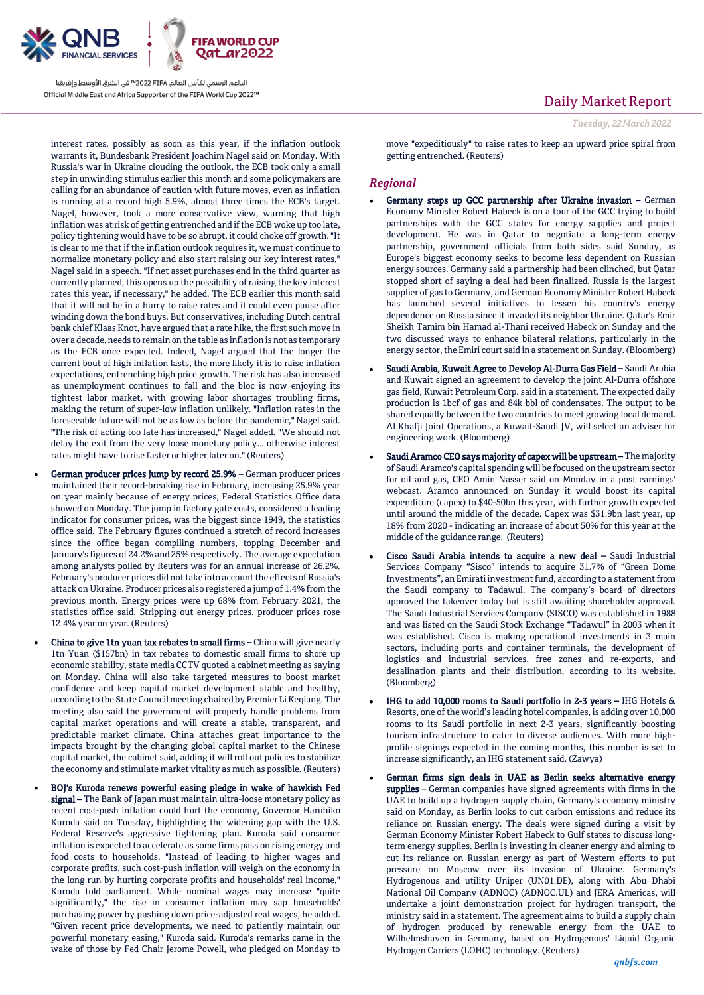

interest rates, possibly as soon as this year, if the inflation outlook warrants it, Bundesbank President Joachim Nagel said on Monday. With Russia's war in Ukraine clouding the outlook, the ECB took only a small step in unwinding stimulus earlier this month and some policymakers are calling for an abundance of caution with future moves, even as inflation is running at a record high 5.9%, almost three times the ECB's target. Nagel, however, took a more conservative view, warning that high inflation was at risk of getting entrenched and if the ECB woke up too late, policy tightening would have to be so abrupt, it could choke off growth. "It is clear to me that if the inflation outlook requires it, we must continue to normalize monetary policy and also start raising our key interest rates," Nagel said in a speech. "If net asset purchases end in the third quarter as currently planned, this opens up the possibility of raising the key interest rates this year, if necessary," he added. The ECB earlier this month said that it will not be in a hurry to raise rates and it could even pause after winding down the bond buys. But conservatives, including Dutch central bank chief Klaas Knot, have argued that a rate hike, the first such move in over a decade, needs to remain on the table as inflation is not as temporary as the ECB once expected. Indeed, Nagel argued that the longer the current bout of high inflation lasts, the more likely it is to raise inflation expectations, entrenching high price growth. The risk has also increased as unemployment continues to fall and the bloc is now enjoying its tightest labor market, with growing labor shortages troubling firms, making the return of super-low inflation unlikely. "Inflation rates in the foreseeable future will not be as low as before the pandemic," Nagel said. "The risk of acting too late has increased," Nagel added. "We should not delay the exit from the very loose monetary policy... otherwise interest rates might have to rise faster or higher later on." (Reuters)

- German producer prices jump by record 25.9% German producer prices maintained their record-breaking rise in February, increasing 25.9% year on year mainly because of energy prices, Federal Statistics Office data showed on Monday. The jump in factory gate costs, considered a leading indicator for consumer prices, was the biggest since 1949, the statistics office said. The February figures continued a stretch of record increases since the office began compiling numbers, topping December and January's figures of 24.2% and 25% respectively. The average expectation among analysts polled by Reuters was for an annual increase of 26.2%. February's producer prices did not take into account the effects of Russia's attack on Ukraine. Producer prices also registered a jump of 1.4% from the previous month. Energy prices were up 68% from February 2021, the statistics office said. Stripping out energy prices, producer prices rose 12.4% year on year. (Reuters)
- China to give 1tn yuan tax rebates to small firms China will give nearly 1tn Yuan (\$157bn) in tax rebates to domestic small firms to shore up economic stability, state media CCTV quoted a cabinet meeting as saying on Monday. China will also take targeted measures to boost market confidence and keep capital market development stable and healthy, according to the State Council meeting chaired by Premier Li Keqiang. The meeting also said the government will properly handle problems from capital market operations and will create a stable, transparent, and predictable market climate. China attaches great importance to the impacts brought by the changing global capital market to the Chinese capital market, the cabinet said, adding it will roll out policies to stabilize the economy and stimulate market vitality as much as possible. (Reuters)
- BOJ's Kuroda renews powerful easing pledge in wake of hawkish Fed signal – The Bank of Japan must maintain ultra-loose monetary policy as recent cost-push inflation could hurt the economy, Governor Haruhiko Kuroda said on Tuesday, highlighting the widening gap with the U.S. Federal Reserve's aggressive tightening plan. Kuroda said consumer inflation is expected to accelerate as some firms pass on rising energy and food costs to households. "Instead of leading to higher wages and corporate profits, such cost-push inflation will weigh on the economy in the long run by hurting corporate profits and households' real income," Kuroda told parliament. While nominal wages may increase "quite significantly," the rise in consumer inflation may sap households' purchasing power by pushing down price-adjusted real wages, he added. "Given recent price developments, we need to patiently maintain our powerful monetary easing," Kuroda said. Kuroda's remarks came in the wake of those by Fed Chair Jerome Powell, who pledged on Monday to

## Daily Market Report

```
Tuesday, 22March2022
```
move "expeditiously" to raise rates to keep an upward price spiral from getting entrenched. (Reuters)

## *Regional*

- Germany steps up GCC partnership after Ukraine invasion German Economy Minister Robert Habeck is on a tour of the GCC trying to build partnerships with the GCC states for energy supplies and project development. He was in Qatar to negotiate a long-term energy partnership, government officials from both sides said Sunday, as Europe's biggest economy seeks to become less dependent on Russian energy sources. Germany said a partnership had been clinched, but Qatar stopped short of saying a deal had been finalized. Russia is the largest supplier of gas to Germany, and German Economy Minister Robert Habeck has launched several initiatives to lessen his country's energy dependence on Russia since it invaded its neighbor Ukraine. Qatar's Emir Sheikh Tamim bin Hamad al-Thani received Habeck on Sunday and the two discussed ways to enhance bilateral relations, particularly in the energy sector, the Emiri court said in a statement on Sunday. (Bloomberg)
- Saudi Arabia, Kuwait Agree to Develop Al-Durra Gas Field Saudi Arabia and Kuwait signed an agreement to develop the joint Al-Durra offshore gas field, Kuwait Petroleum Corp. said in a statement. The expected daily production is 1bcf of gas and 84k bbl of condensates. The output to be shared equally between the two countries to meet growing local demand. Al Khafji Joint Operations, a Kuwait-Saudi JV, will select an adviser for engineering work. (Bloomberg)
- Saudi Aramco CEO says majority of capex will be upstream The majority of Saudi Aramco's capital spending will be focused on the upstream sector for oil and gas, CEO Amin Nasser said on Monday in a post earnings' webcast. Aramco announced on Sunday it would boost its capital expenditure (capex) to \$40-50bn this year, with further growth expected until around the middle of the decade. Capex was \$31.9bn last year, up 18% from 2020 - indicating an increase of about 50% for this year at the middle of the guidance range. (Reuters)
- Cisco Saudi Arabia intends to acquire a new deal Saudi Industrial Services Company "Sisco" intends to acquire 31.7% of "Green Dome Investments", an Emirati investment fund, according to a statement from the Saudi company to Tadawul. The company's board of directors approved the takeover today but is still awaiting shareholder approval. The Saudi Industrial Services Company (SISCO) was established in 1988 and was listed on the Saudi Stock Exchange "Tadawul" in 2003 when it was established. Cisco is making operational investments in 3 main sectors, including ports and container terminals, the development of logistics and industrial services, free zones and re-exports, and desalination plants and their distribution, according to its website. (Bloomberg)
- IHG to add 10,000 rooms to Saudi portfolio in 2-3 years IHG Hotels & Resorts, one of the world's leading hotel companies, is adding over 10,000 rooms to its Saudi portfolio in next 2-3 years, significantly boosting tourism infrastructure to cater to diverse audiences. With more highprofile signings expected in the coming months, this number is set to increase significantly, an IHG statement said. (Zawya)
- German firms sign deals in UAE as Berlin seeks alternative energy supplies - German companies have signed agreements with firms in the UAE to build up a hydrogen supply chain, Germany's economy ministry said on Monday, as Berlin looks to cut carbon emissions and reduce its reliance on Russian energy. The deals were signed during a visit by German Economy Minister Robert Habeck to Gulf states to discuss longterm energy supplies. Berlin is investing in cleaner energy and aiming to cut its reliance on Russian energy as part of Western efforts to put pressure on Moscow over its invasion of Ukraine. Germany's Hydrogenous and utility Uniper (UN01.DE), along with Abu Dhabi National Oil Company (ADNOC) (ADNOC.UL) and JERA Americas, will undertake a joint demonstration project for hydrogen transport, the ministry said in a statement. The agreement aims to build a supply chain of hydrogen produced by renewable energy from the UAE to Wilhelmshaven in Germany, based on Hydrogenous' Liquid Organic Hydrogen Carriers (LOHC) technology. (Reuters)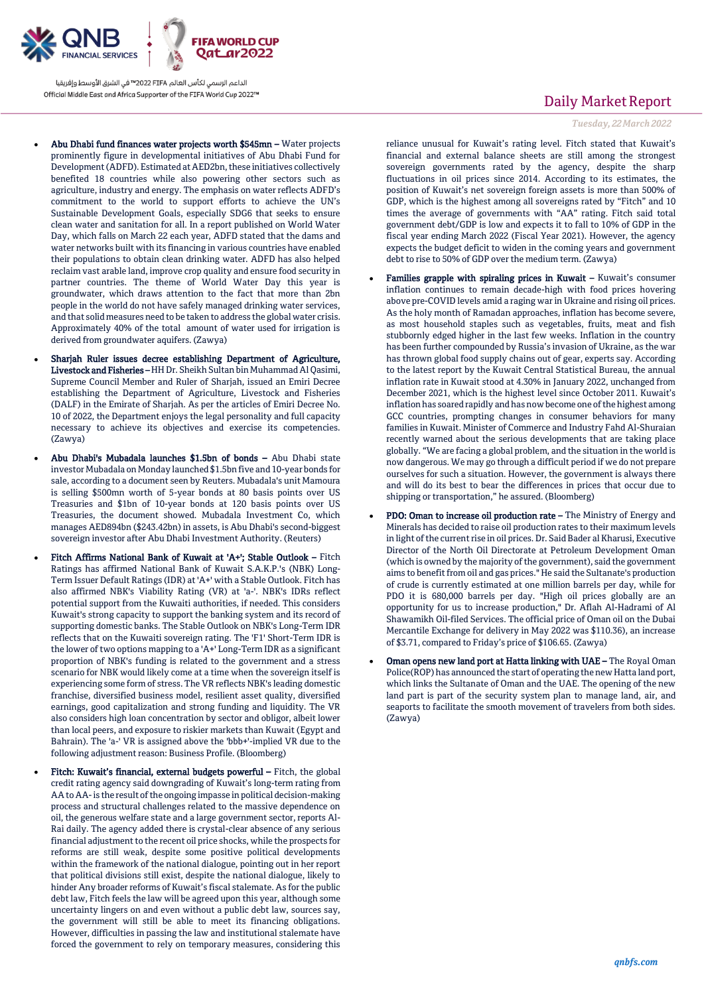

- Abu Dhabi fund finances water projects worth \$545mn Water projects prominently figure in developmental initiatives of Abu Dhabi Fund for Development (ADFD). Estimated at AED2bn, these initiatives collectively benefited 18 countries while also powering other sectors such as agriculture, industry and energy. The emphasis on water reflects ADFD's commitment to the world to support efforts to achieve the UN's Sustainable Development Goals, especially SDG6 that seeks to ensure clean water and sanitation for all. In a report published on World Water Day, which falls on March 22 each year, ADFD stated that the dams and water networks built with its financing in various countries have enabled their populations to obtain clean drinking water. ADFD has also helped reclaim vast arable land, improve crop quality and ensure food security in partner countries. The theme of World Water Day this year is groundwater, which draws attention to the fact that more than 2bn people in the world do not have safely managed drinking water services, and that solid measures need to be taken to address the global water crisis. Approximately 40% of the total amount of water used for irrigation is derived from groundwater aquifers. (Zawya)
- Shariah Ruler issues decree establishing Department of Agriculture, Livestock and Fisheries – HH Dr. Sheikh Sultan bin Muhammad Al Qasimi, Supreme Council Member and Ruler of Sharjah, issued an Emiri Decree establishing the Department of Agriculture, Livestock and Fisheries (DALF) in the Emirate of Sharjah. As per the articles of Emiri Decree No. 10 of 2022, the Department enjoys the legal personality and full capacity necessary to achieve its objectives and exercise its competencies. (Zawya)
- Abu Dhabi's Mubadala launches \$1.5bn of bonds Abu Dhabi state investor Mubadala on Monday launched \$1.5bn five and 10-year bonds for sale, according to a document seen by Reuters. Mubadala's unit Mamoura is selling \$500mn worth of 5-year bonds at 80 basis points over US Treasuries and \$1bn of 10-year bonds at 120 basis points over US Treasuries, the document showed. Mubadala Investment Co, which manages AED894bn (\$243.42bn) in assets, is Abu Dhabi's second-biggest sovereign investor after Abu Dhabi Investment Authority. (Reuters)
- Fitch Affirms National Bank of Kuwait at 'A+'; Stable Outlook Fitch Ratings has affirmed National Bank of Kuwait S.A.K.P.'s (NBK) Long-Term Issuer Default Ratings (IDR) at 'A+' with a Stable Outlook. Fitch has also affirmed NBK's Viability Rating (VR) at 'a-'. NBK's IDRs reflect potential support from the Kuwaiti authorities, if needed. This considers Kuwait's strong capacity to support the banking system and its record of supporting domestic banks. The Stable Outlook on NBK's Long-Term IDR reflects that on the Kuwaiti sovereign rating. The 'F1' Short-Term IDR is the lower of two options mapping to a 'A+' Long-Term IDR as a significant proportion of NBK's funding is related to the government and a stress scenario for NBK would likely come at a time when the sovereign itself is experiencing some form of stress. The VR reflects NBK's leading domestic franchise, diversified business model, resilient asset quality, diversified earnings, good capitalization and strong funding and liquidity. The VR also considers high loan concentration by sector and obligor, albeit lower than local peers, and exposure to riskier markets than Kuwait (Egypt and Bahrain). The 'a-' VR is assigned above the 'bbb+'-implied VR due to the following adjustment reason: Business Profile. (Bloomberg)
- Fitch: Kuwait's financial, external budgets powerful Fitch, the global credit rating agency said downgrading of Kuwait's long-term rating from AA to AA-is the result of the ongoing impasse in political decision-making process and structural challenges related to the massive dependence on oil, the generous welfare state and a large government sector, reports Al-Rai daily. The agency added there is crystal-clear absence of any serious financial adjustment to the recent oil price shocks, while the prospects for reforms are still weak, despite some positive political developments within the framework of the national dialogue, pointing out in her report that political divisions still exist, despite the national dialogue, likely to hinder Any broader reforms of Kuwait's fiscal stalemate. As for the public debt law, Fitch feels the law will be agreed upon this year, although some uncertainty lingers on and even without a public debt law, sources say, the government will still be able to meet its financing obligations. However, difficulties in passing the law and institutional stalemate have forced the government to rely on temporary measures, considering this

## Daily Market Report

#### *Tuesday, 22March2022*

reliance unusual for Kuwait's rating level. Fitch stated that Kuwait's financial and external balance sheets are still among the strongest sovereign governments rated by the agency, despite the sharp fluctuations in oil prices since 2014. According to its estimates, the position of Kuwait's net sovereign foreign assets is more than 500% of GDP, which is the highest among all sovereigns rated by "Fitch" and 10 times the average of governments with "AA" rating. Fitch said total government debt/GDP is low and expects it to fall to 10% of GDP in the fiscal year ending March 2022 (Fiscal Year 2021). However, the agency expects the budget deficit to widen in the coming years and government debt to rise to 50% of GDP over the medium term. (Zawya)

- Families grapple with spiraling prices in Kuwait Kuwait's consumer inflation continues to remain decade-high with food prices hovering above pre-COVID levels amid a raging war in Ukraine and rising oil prices. As the holy month of Ramadan approaches, inflation has become severe, as most household staples such as vegetables, fruits, meat and fish stubbornly edged higher in the last few weeks. Inflation in the country has been further compounded by Russia's invasion of Ukraine, as the war has thrown global food supply chains out of gear, experts say. According to the latest report by the Kuwait Central Statistical Bureau, the annual inflation rate in Kuwait stood at 4.30% in January 2022, unchanged from December 2021, which is the highest level since October 2011. Kuwait's inflation has soared rapidly and has now become one of the highest among GCC countries, prompting changes in consumer behaviors for many families in Kuwait. Minister of Commerce and Industry Fahd Al-Shuraian recently warned about the serious developments that are taking place globally. "We are facing a global problem, and the situation in the world is now dangerous. We may go through a difficult period if we do not prepare ourselves for such a situation. However, the government is always there and will do its best to bear the differences in prices that occur due to shipping or transportation," he assured. (Bloomberg)
- PDO: Oman to increase oil production rate The Ministry of Energy and Minerals has decided to raise oil production rates to their maximum levels in light of the current rise in oil prices. Dr. Said Bader al Kharusi, Executive Director of the North Oil Directorate at Petroleum Development Oman (which is owned by the majority of the government), said the government aims to benefit from oil and gas prices." He said the Sultanate's production of crude is currently estimated at one million barrels per day, while for PDO it is 680,000 barrels per day. "High oil prices globally are an opportunity for us to increase production," Dr. Aflah Al-Hadrami of Al Shawamikh Oil-filed Services. The official price of Oman oil on the Dubai Mercantile Exchange for delivery in May 2022 was \$110.36), an increase of \$3.71, compared to Friday's price of \$106.65. (Zawya)
- Oman opens new land port at Hatta linking with UAE The Royal Oman Police(ROP) has announced the start of operating the new Hatta land port, which links the Sultanate of Oman and the UAE. The opening of the new land part is part of the security system plan to manage land, air, and seaports to facilitate the smooth movement of travelers from both sides. (Zawya)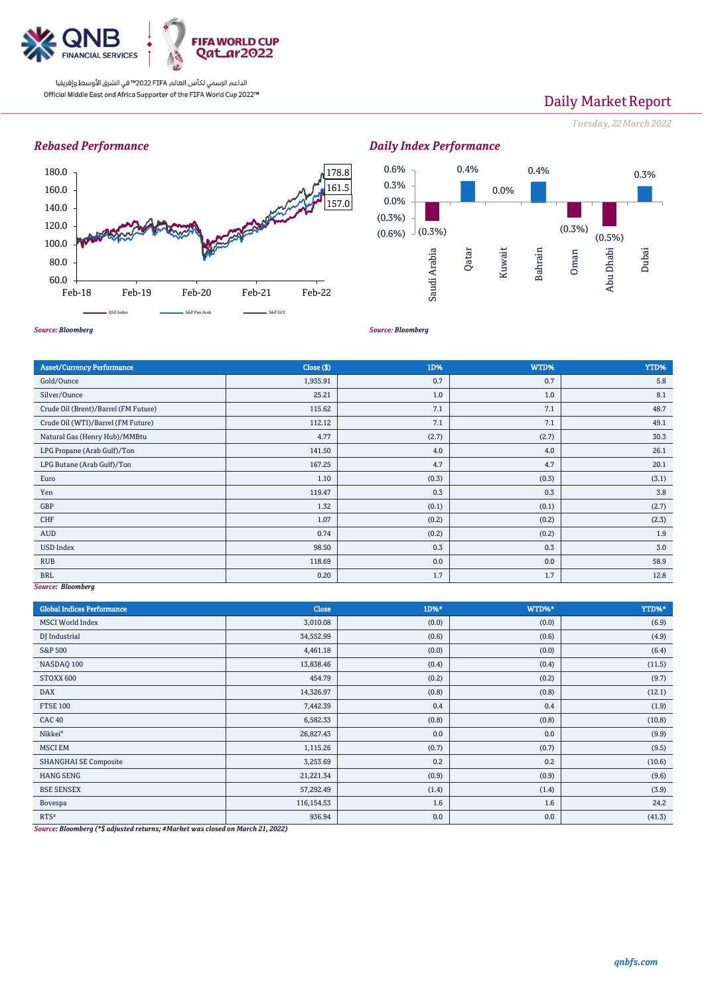

# Daily Market Report

*Tuesday, 22March2022*

## *Rebased Performance*



## *Daily Index Performance*



*Source: Bloomberg*

*Source: Bloomberg*

| <b>Asset/Currency Performance</b>         | Close ( \$) | 1D%   | WTD%  | YTD%  |
|-------------------------------------------|-------------|-------|-------|-------|
| Gold/Ounce                                | 1,935.91    | 0.7   | 0.7   | 5.8   |
| Silver/Ounce                              | 25.21       | 1.0   | 1.0   | 8.1   |
| Crude Oil (Brent)/Barrel (FM Future)      | 115.62      | 7.1   | 7.1   | 48.7  |
| Crude Oil (WTI)/Barrel (FM Future)        | 112.12      | 7.1   | 7.1   | 49.1  |
| Natural Gas (Henry Hub)/MMBtu             | 4.77        | (2.7) | (2.7) | 30.3  |
| LPG Propane (Arab Gulf)/Ton               | 141.50      | 4.0   | 4.0   | 26.1  |
| LPG Butane (Arab Gulf)/Ton                | 167.25      | 4.7   | 4.7   | 20.1  |
| Euro                                      | 1.10        | (0.3) | (0.3) | (3.1) |
| Yen                                       | 119.47      | 0.3   | 0.3   | 3.8   |
| GBP                                       | 1.32        | (0.1) | (0.1) | (2.7) |
| CHF                                       | 1.07        | (0.2) | (0.2) | (2.3) |
| AUD                                       | 0.74        | (0.2) | (0.2) | 1.9   |
| <b>USD Index</b>                          | 98.50       | 0.3   | 0.3   | 3.0   |
| <b>RUB</b>                                | 118.69      | 0.0   | 0.0   | 58.9  |
| <b>BRL</b><br>$\sim$ $\sim$ $\sim$ $\sim$ | 0.20        | 1.7   | 1.7   | 12.8  |

### *Source: Bloomberg*

| <b>Global Indices Performance</b> | <b>Close</b> | 1D%*  | WTD%* | YTD%*  |
|-----------------------------------|--------------|-------|-------|--------|
| <b>MSCI World Index</b>           | 3,010.08     | (0.0) | (0.0) | (6.9)  |
| DJ Industrial                     | 34,552.99    | (0.6) | (0.6) | (4.9)  |
| S&P 500                           | 4,461.18     | (0.0) | (0.0) | (6.4)  |
| NASDAQ 100                        | 13,838.46    | (0.4) | (0.4) | (11.5) |
| STOXX 600                         | 454.79       | (0.2) | (0.2) | (9.7)  |
| <b>DAX</b>                        | 14,326.97    | (0.8) | (0.8) | (12.1) |
| <b>FTSE 100</b>                   | 7,442.39     | 0.4   | 0.4   | (1.9)  |
| <b>CAC 40</b>                     | 6,582.33     | (0.8) | (0.8) | (10.8) |
| Nikkei#                           | 26,827.43    | 0.0   | 0.0   | (9.9)  |
| <b>MSCI EM</b>                    | 1,115.26     | (0.7) | (0.7) | (9.5)  |
| <b>SHANGHAI SE Composite</b>      | 3,253.69     | 0.2   | 0.2   | (10.6) |
| <b>HANG SENG</b>                  | 21,221.34    | (0.9) | (0.9) | (9.6)  |
| <b>BSE SENSEX</b>                 | 57,292.49    | (1.4) | (1.4) | (3.9)  |
| Bovespa                           | 116,154.53   | 1.6   | 1.6   | 24.2   |
| $RTS^*$<br>$-1$                   | 936.94       | 0.0   | 0.0   | (41.3) |

*Source: Bloomberg (\*\$ adjusted returns; #Market was closed on March 21, 2022)*